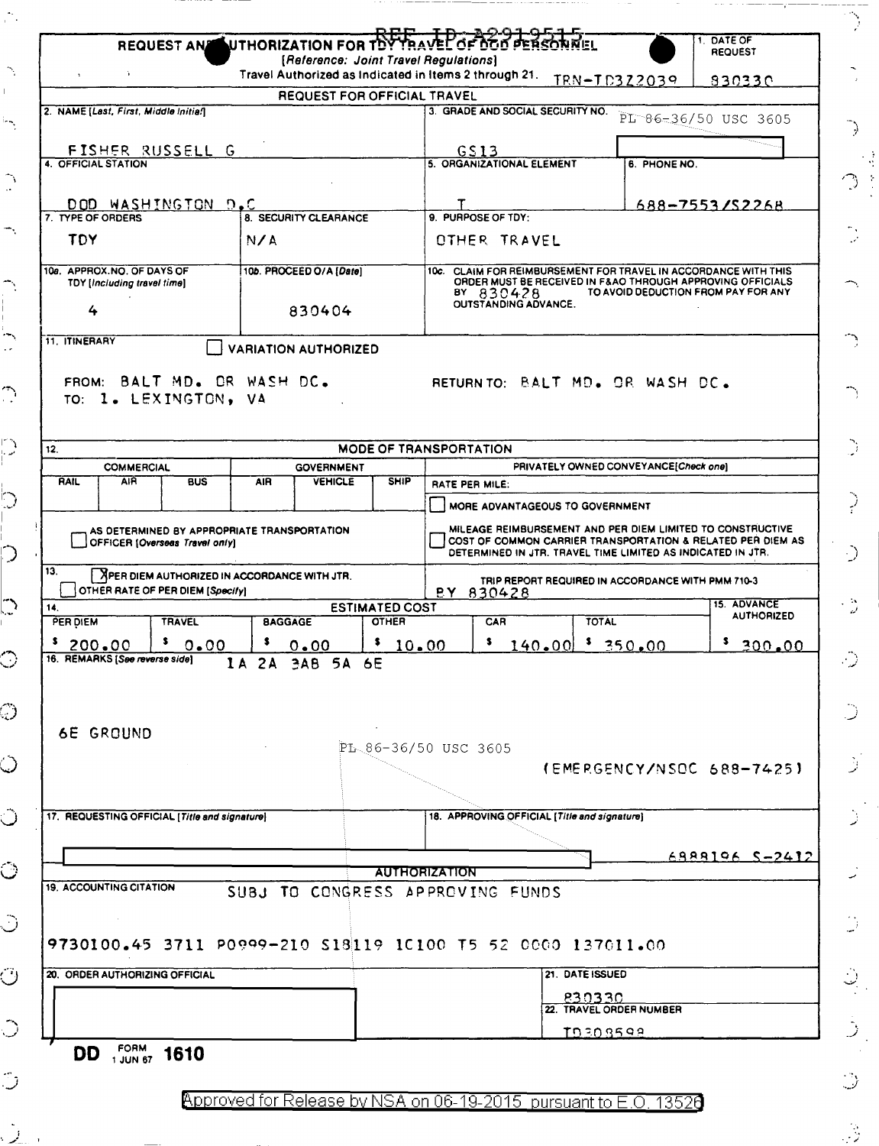|                                                                                                                                 |                                  |                                       | REQUEST AN UTHORIZATION FOR TOY TRAVEL OF DOO PERSONNEL<br>[Reference: Joint Travel Regulations]                                                                                         |                                                   | DATE OF<br><b>REQUEST</b> |  |
|---------------------------------------------------------------------------------------------------------------------------------|----------------------------------|---------------------------------------|------------------------------------------------------------------------------------------------------------------------------------------------------------------------------------------|---------------------------------------------------|---------------------------|--|
| $\mathbf{\hat{z}}$                                                                                                              |                                  |                                       | Travel Authorized as Indicated in Items 2 through 21.                                                                                                                                    | TRN-TD322039                                      | 830330                    |  |
|                                                                                                                                 | REQUEST FOR OFFICIAL TRAVEL      |                                       |                                                                                                                                                                                          |                                                   |                           |  |
| 2. NAME [Last, First, Middle Initia/]                                                                                           |                                  |                                       | 3. GRADE AND SOCIAL SECURITY NO.                                                                                                                                                         |                                                   | PL 86-36/50 USC 3605      |  |
| FISHER RUSSELL G                                                                                                                |                                  |                                       |                                                                                                                                                                                          |                                                   |                           |  |
| 4. OFFICIAL STATION                                                                                                             |                                  |                                       | GS13<br>5. ORGANIZATIONAL ELEMENT                                                                                                                                                        | 6. PHONE NO.                                      |                           |  |
|                                                                                                                                 |                                  |                                       |                                                                                                                                                                                          |                                                   |                           |  |
| DOD WASHINGTON D.C                                                                                                              |                                  |                                       |                                                                                                                                                                                          |                                                   | $688 - 7553$ /S2268       |  |
| 7. TYPE OF ORDERS                                                                                                               | 8. SECURITY CLEARANCE            |                                       | 9. PURPOSE OF TDY:                                                                                                                                                                       |                                                   |                           |  |
| TDY                                                                                                                             | N/A                              |                                       | OTHER TRAVEL                                                                                                                                                                             |                                                   |                           |  |
| 10a. APPROX.NO. OF DAYS OF                                                                                                      | 10b. PROCEED O/A [Date]          |                                       | 10c. CLAIM FOR REIMBURSEMENT FOR TRAVEL IN ACCORDANCE WITH THIS                                                                                                                          |                                                   |                           |  |
| TDY [Including travel time]                                                                                                     |                                  |                                       | ORDER MUST BE RECEIVED IN F&AO THROUGH APPROVING OFFICIALS<br>TO AVOID DEDUCTION FROM PAY FOR ANY<br>BY 830428                                                                           |                                                   |                           |  |
| 4                                                                                                                               | 830404                           |                                       | <b>OUTSTANDING ADVANCE.</b>                                                                                                                                                              |                                                   |                           |  |
| 11. ITINERARY                                                                                                                   | <b>VARIATION AUTHORIZED</b>      |                                       |                                                                                                                                                                                          |                                                   |                           |  |
|                                                                                                                                 |                                  |                                       |                                                                                                                                                                                          |                                                   |                           |  |
| FROM: BALT MD. OR WASH DC.                                                                                                      |                                  |                                       | RETURNTO: BALT MD. OR WASH DC.                                                                                                                                                           |                                                   |                           |  |
| TO: 1. LEXINGTON, VA                                                                                                            |                                  |                                       |                                                                                                                                                                                          |                                                   |                           |  |
|                                                                                                                                 |                                  |                                       |                                                                                                                                                                                          |                                                   |                           |  |
| 12.                                                                                                                             |                                  |                                       | <b>MODE OF TRANSPORTATION</b>                                                                                                                                                            |                                                   |                           |  |
| <b>COMMERCIAL</b>                                                                                                               | <b>GOVERNMENT</b>                |                                       |                                                                                                                                                                                          | PRIVATELY OWNED CONVEYANCE[Check one]             |                           |  |
| <b>AIR</b><br>RAIL<br><b>BUS</b>                                                                                                | <b>VEHICLE</b><br><b>AIR</b>     | <b>SHIP</b>                           | RATE PER MILE:                                                                                                                                                                           |                                                   |                           |  |
|                                                                                                                                 |                                  |                                       | MORE ADVANTAGEOUS TO GOVERNMENT                                                                                                                                                          |                                                   |                           |  |
| AS DETERMINED BY APPROPRIATE TRANSPORTATION<br>OFFICER (Overseas Travel only)                                                   |                                  |                                       | MILEAGE REIMBURSEMENT AND PER DIEM LIMITED TO CONSTRUCTIVE<br>COST OF COMMON CARRIER TRANSPORTATION & RELATED PER DIEM AS<br>DETERMINED IN JTR. TRAVEL TIME LIMITED AS INDICATED IN JTR. |                                                   |                           |  |
| 13.<br>XPER DIEM AUTHORIZED IN ACCORDANCE WITH JTR.                                                                             |                                  |                                       |                                                                                                                                                                                          | TRIP REPORT REQUIRED IN ACCORDANCE WITH PMM 710-3 |                           |  |
| OTHER RATE OF PER DIEM [Specify]                                                                                                |                                  |                                       | BY 830428                                                                                                                                                                                |                                                   | 15. ADVANCE               |  |
| 14.<br>PER DIEM<br><b>TRAVEL</b>                                                                                                | <b>BAGGAGE</b>                   | <b>ESTIMATED COST</b><br><b>OTHER</b> | CAR                                                                                                                                                                                      | <b>TOTAL</b>                                      | <b>AUTHORIZED</b>         |  |
| \$200.00<br>$^{5}$ 0.00                                                                                                         | \$<br>0.00                       | \$10.00                               | $5$ 140.00 $5$ 350.00                                                                                                                                                                    |                                                   | 5.<br>300.00              |  |
| 16. REMARKS [See reverse side]                                                                                                  | 1A 2A 3AB 5A 6E                  |                                       |                                                                                                                                                                                          |                                                   |                           |  |
|                                                                                                                                 |                                  |                                       |                                                                                                                                                                                          |                                                   |                           |  |
|                                                                                                                                 |                                  |                                       |                                                                                                                                                                                          |                                                   |                           |  |
| <b>6E GROUND</b>                                                                                                                |                                  |                                       |                                                                                                                                                                                          |                                                   |                           |  |
|                                                                                                                                 |                                  |                                       | $PL_86-36/50$ USC 3605                                                                                                                                                                   |                                                   |                           |  |
|                                                                                                                                 |                                  |                                       |                                                                                                                                                                                          | (EMERGENCY/NSOC 688-7425)                         |                           |  |
|                                                                                                                                 |                                  |                                       |                                                                                                                                                                                          |                                                   |                           |  |
| 17. REQUESTING OFFICIAL [Title and signature]                                                                                   |                                  |                                       | 18. APPROVING OFFICIAL [Title and signature]                                                                                                                                             |                                                   |                           |  |
|                                                                                                                                 |                                  |                                       |                                                                                                                                                                                          |                                                   |                           |  |
|                                                                                                                                 |                                  |                                       |                                                                                                                                                                                          |                                                   | 6888196 S-2412            |  |
|                                                                                                                                 |                                  |                                       | <b>AUTHORIZATION</b>                                                                                                                                                                     |                                                   |                           |  |
|                                                                                                                                 |                                  |                                       |                                                                                                                                                                                          |                                                   |                           |  |
|                                                                                                                                 | SUBJ TO CONGRESS APPROVING FUNDS |                                       |                                                                                                                                                                                          |                                                   |                           |  |
|                                                                                                                                 |                                  |                                       |                                                                                                                                                                                          |                                                   |                           |  |
|                                                                                                                                 |                                  |                                       |                                                                                                                                                                                          |                                                   |                           |  |
|                                                                                                                                 |                                  |                                       |                                                                                                                                                                                          |                                                   |                           |  |
|                                                                                                                                 |                                  |                                       | 21. DATE ISSUED                                                                                                                                                                          |                                                   |                           |  |
|                                                                                                                                 |                                  |                                       |                                                                                                                                                                                          | 830330<br>22. TRAVEL ORDER NUMBER                 |                           |  |
| <b>19. ACCOUNTING CITATION</b><br>9730100.45 3711 P0999-210 S18119 10100 T5 52 0000 137011.00<br>20. ORDER AUTHORIZING OFFICIAL |                                  |                                       |                                                                                                                                                                                          | TD308599                                          |                           |  |

'•· ....

 $\frac{1}{\sqrt{2}}$ 

-..

 $\rightarrow$ 

 $\sum_{i=1}^{n}$ 

 $\bigcap_{i=1}^{\infty}$ 

 $\mathbb{C}$ 

 $\overline{\mathbb{D}}$ 

 $\overline{D}$ 

 $\mathbb{C}$ 

 $\circ$ 

 $\widetilde{\mathbb{C}}$ 

()

 $\hat{\mathbb{O}}$ 

 $\circlearrowleft$ 

 $\hat{\mathbb{C}}$ 

Ö

Ø

 $\circ$ 

 $\mathbb{C}$ 

 $\hat{\mathcal{L}}$ 

|  | з. |  |
|--|----|--|
|  | ć  |  |
|  | ◢  |  |